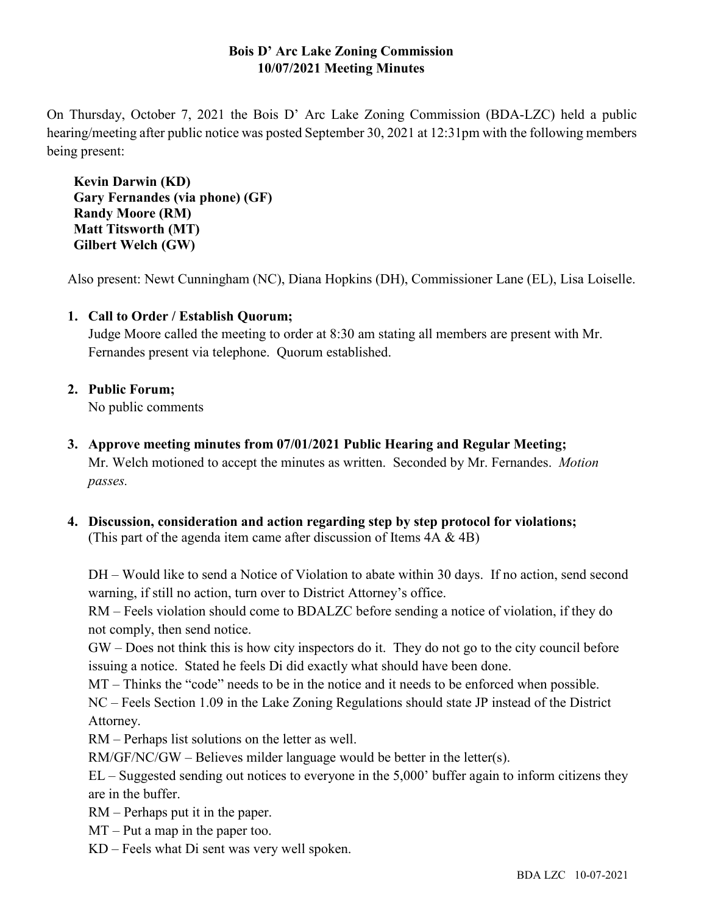# **Bois D' Arc Lake Zoning Commission 10/07/2021 Meeting Minutes**

On Thursday, October 7, 2021 the Bois D' Arc Lake Zoning Commission (BDA-LZC) held a public hearing/meeting after public notice was posted September 30, 2021 at 12:31pm with the following members being present:

**Kevin Darwin (KD) Gary Fernandes (via phone) (GF) Randy Moore (RM) Matt Titsworth (MT) Gilbert Welch (GW)**

Also present: Newt Cunningham (NC), Diana Hopkins (DH), Commissioner Lane (EL), Lisa Loiselle.

# **1. Call to Order / Establish Quorum;**

Judge Moore called the meeting to order at 8:30 am stating all members are present with Mr. Fernandes present via telephone. Quorum established.

## **2. Public Forum;**

No public comments

- **3. Approve meeting minutes from 07/01/2021 Public Hearing and Regular Meeting;** Mr. Welch motioned to accept the minutes as written. Seconded by Mr. Fernandes. *Motion passes.*
- **4. Discussion, consideration and action regarding step by step protocol for violations;** (This part of the agenda item came after discussion of Items  $4A \& 4B$ )

DH – Would like to send a Notice of Violation to abate within 30 days. If no action, send second warning, if still no action, turn over to District Attorney's office.

RM – Feels violation should come to BDALZC before sending a notice of violation, if they do not comply, then send notice.

GW – Does not think this is how city inspectors do it. They do not go to the city council before issuing a notice. Stated he feels Di did exactly what should have been done.

MT – Thinks the "code" needs to be in the notice and it needs to be enforced when possible.

NC – Feels Section 1.09 in the Lake Zoning Regulations should state JP instead of the District Attorney.

RM – Perhaps list solutions on the letter as well.

RM/GF/NC/GW – Believes milder language would be better in the letter(s).

EL – Suggested sending out notices to everyone in the 5,000' buffer again to inform citizens they are in the buffer.

RM – Perhaps put it in the paper.

MT – Put a map in the paper too.

KD – Feels what Di sent was very well spoken.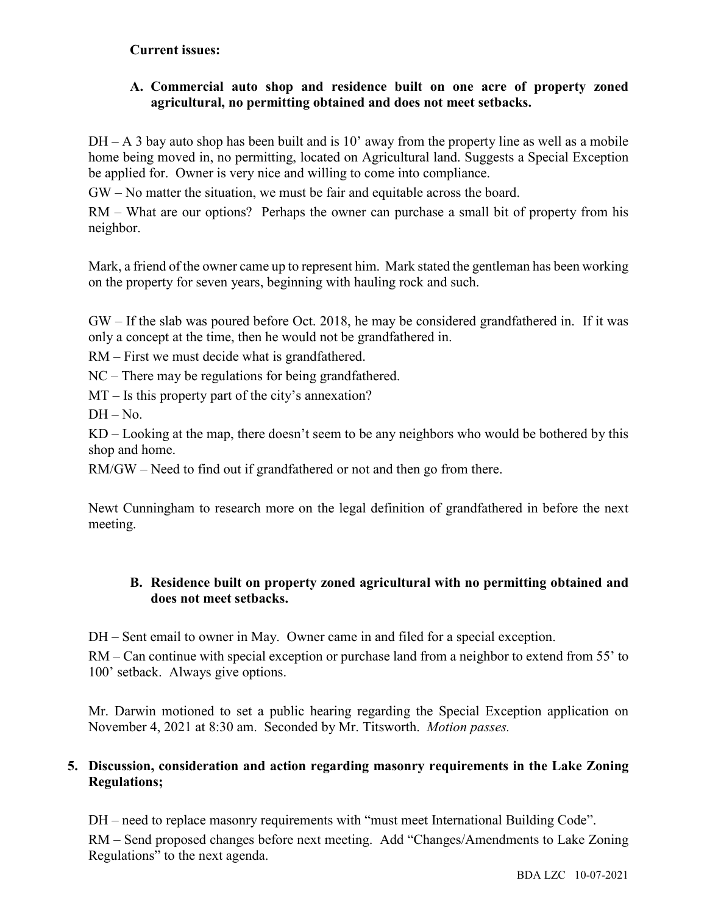### **Current issues:**

# **A. Commercial auto shop and residence built on one acre of property zoned agricultural, no permitting obtained and does not meet setbacks.**

 $DH - A$  3 bay auto shop has been built and is 10' away from the property line as well as a mobile home being moved in, no permitting, located on Agricultural land. Suggests a Special Exception be applied for. Owner is very nice and willing to come into compliance.

GW – No matter the situation, we must be fair and equitable across the board.

RM – What are our options? Perhaps the owner can purchase a small bit of property from his neighbor.

Mark, a friend of the owner came up to represent him. Mark stated the gentleman has been working on the property for seven years, beginning with hauling rock and such.

GW – If the slab was poured before Oct. 2018, he may be considered grandfathered in. If it was only a concept at the time, then he would not be grandfathered in.

RM – First we must decide what is grandfathered.

NC – There may be regulations for being grandfathered.

MT – Is this property part of the city's annexation?

 $DH - No.$ 

KD – Looking at the map, there doesn't seem to be any neighbors who would be bothered by this shop and home.

RM/GW – Need to find out if grandfathered or not and then go from there.

Newt Cunningham to research more on the legal definition of grandfathered in before the next meeting.

## **B. Residence built on property zoned agricultural with no permitting obtained and does not meet setbacks.**

DH – Sent email to owner in May. Owner came in and filed for a special exception.

RM – Can continue with special exception or purchase land from a neighbor to extend from 55' to 100' setback. Always give options.

Mr. Darwin motioned to set a public hearing regarding the Special Exception application on November 4, 2021 at 8:30 am. Seconded by Mr. Titsworth. *Motion passes.*

## **5. Discussion, consideration and action regarding masonry requirements in the Lake Zoning Regulations;**

DH – need to replace masonry requirements with "must meet International Building Code". RM – Send proposed changes before next meeting. Add "Changes/Amendments to Lake Zoning Regulations" to the next agenda.